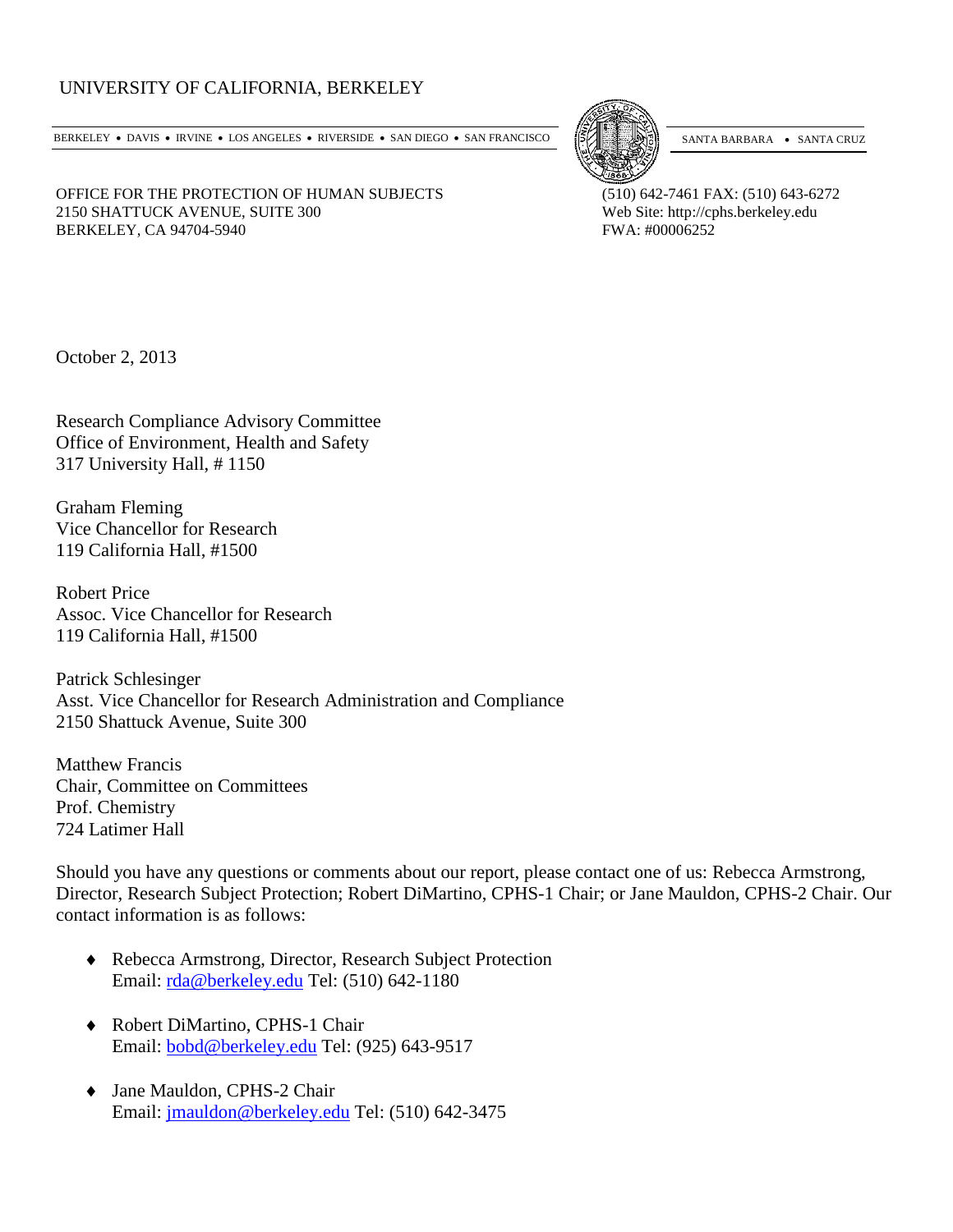## UNIVERSITY OF CALIFORNIA, BERKELEY

BERKELEY • DAVIS • IRVINE • LOS ANGELES • RIVERSIDE • SAN DIEGO • SAN FRANCISCO [57] SANTA BARBARA • SANTA CRUZ



OFFICE FOR THE PROTECTION OF HUMAN SUBJECTS (510) 642-7461 FAX: (510) 643-6272 2150 SHATTUCK AVENUE, SUITE 300<br>
BERKELEY, CA 94704-5940<br>
Web Site: http://cphs.berkeley.edu<br>
FWA: #00006252 BERKELEY, CA 94704-5940

October 2, 2013

Research Compliance Advisory Committee Office of Environment, Health and Safety 317 University Hall, # 1150

Graham Fleming Vice Chancellor for Research 119 California Hall, #1500

Robert Price Assoc. Vice Chancellor for Research 119 California Hall, #1500

Patrick Schlesinger Asst. Vice Chancellor for Research Administration and Compliance 2150 Shattuck Avenue, Suite 300

Matthew Francis Chair, Committee on Committees Prof. Chemistry 724 Latimer Hall

Should you have any questions or comments about our report, please contact one of us: Rebecca Armstrong, Director, Research Subject Protection; Robert DiMartino, CPHS-1 Chair; or Jane Mauldon, CPHS-2 Chair. Our contact information is as follows:

- ♦ Rebecca Armstrong, Director, Research Subject Protection Email: [rda@berkeley.edu](mailto:rda@berkeley.edu) Tel: (510) 642-1180
- ♦ Robert DiMartino, CPHS-1 Chair Email: [bobd@berkeley.edu](mailto:bobd@berkeley.edu) Tel: (925) 643-9517
- ♦ Jane Mauldon, CPHS-2 Chair Email: [jmauldon@berkeley.edu](mailto:jmauldon@berkeley.edu) Tel: (510) 642-3475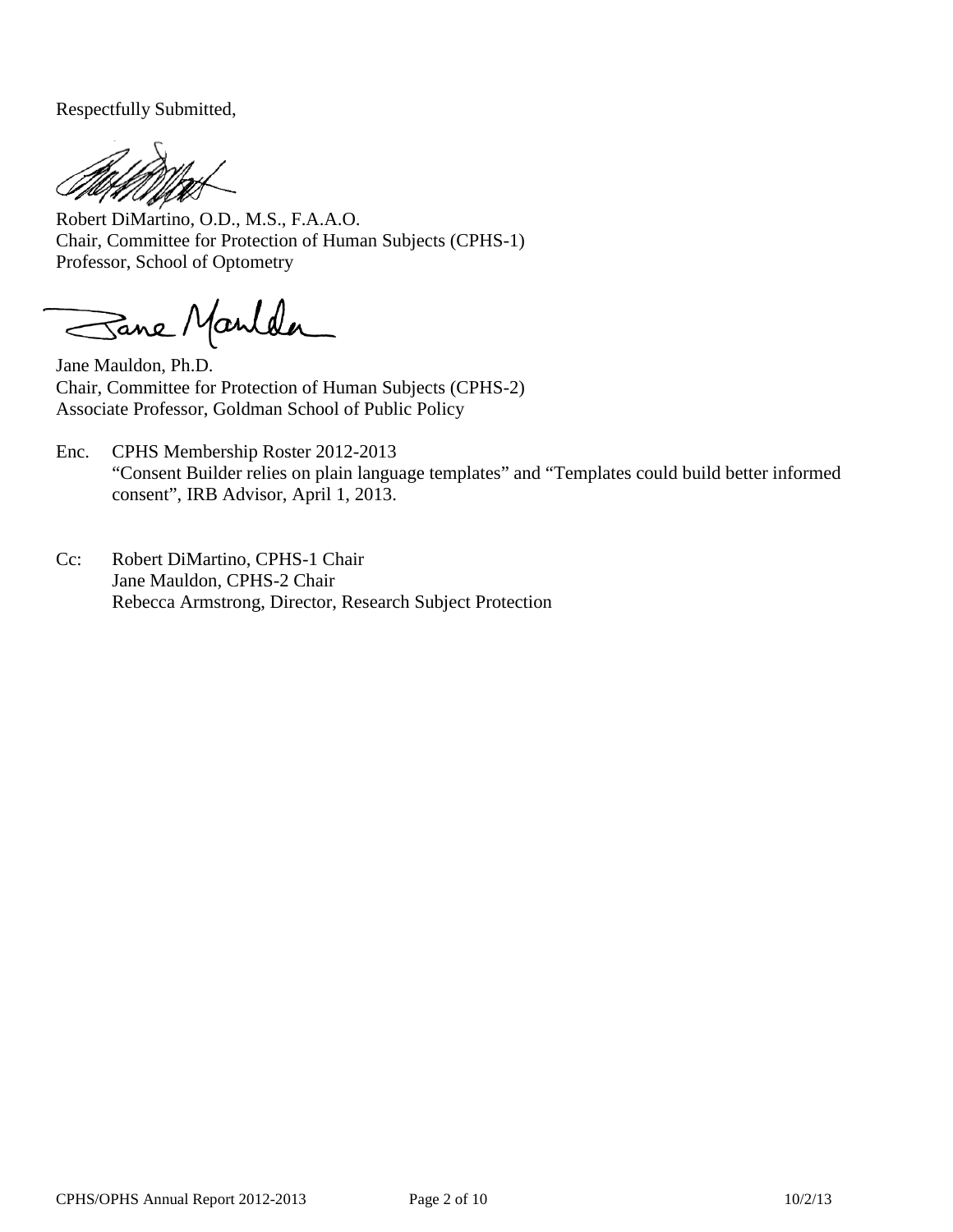Respectfully Submitted,

Robert DiMartino, O.D., M.S., F.A.A.O. Chair, Committee for Protection of Human Subjects (CPHS-1) Professor, School of Optometry

Sane Manlder

Jane Mauldon, Ph.D. Chair, Committee for Protection of Human Subjects (CPHS-2) Associate Professor, Goldman School of Public Policy

- Enc. CPHS Membership Roster 2012-2013 ["Consent Builder relies on plain language templates"](http://www.lexisnexis.com/lnacui2api/results/docview/docview.do?docLinkInd=true&risb=21_T18048617838&format=GNBFI&sort=BOOLEAN&startDocNo=1&resultsUrlKey=29_T18048617830&cisb=22_T18048617840&treeMax=true&treeWidth=0&csi=365627&docNo=2) and ["Templates could build better informed](http://www.lexisnexis.com/lnacui2api/results/docview/docview.do?docLinkInd=true&risb=21_T18048617838&format=GNBFI&sort=BOOLEAN&startDocNo=1&resultsUrlKey=29_T18048617830&cisb=22_T18048617840&treeMax=true&treeWidth=0&csi=365627&docNo=1)  [consent"](http://www.lexisnexis.com/lnacui2api/results/docview/docview.do?docLinkInd=true&risb=21_T18048617838&format=GNBFI&sort=BOOLEAN&startDocNo=1&resultsUrlKey=29_T18048617830&cisb=22_T18048617840&treeMax=true&treeWidth=0&csi=365627&docNo=1), IRB Advisor, April 1, 2013.
- Cc: Robert DiMartino, CPHS-1 Chair Jane Mauldon, CPHS-2 Chair Rebecca Armstrong, Director, Research Subject Protection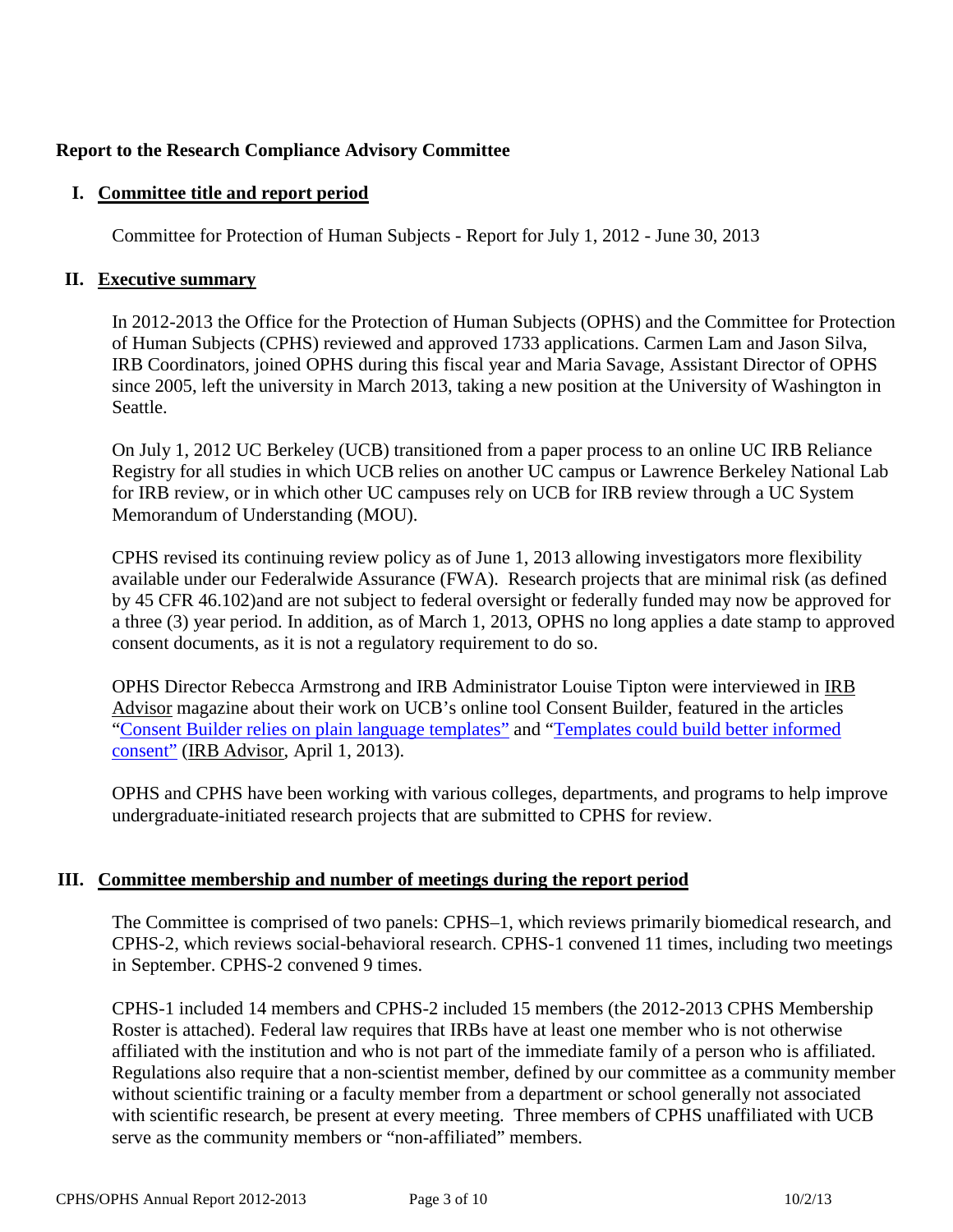# **Report to the Research Compliance Advisory Committee**

#### **I. Committee title and report period**

Committee for Protection of Human Subjects - Report for July 1, 2012 - June 30, 2013

#### **II. Executive summary**

In 2012-2013 the Office for the Protection of Human Subjects (OPHS) and the Committee for Protection of Human Subjects (CPHS) reviewed and approved 1733 applications. Carmen Lam and Jason Silva, IRB Coordinators, joined OPHS during this fiscal year and Maria Savage, Assistant Director of OPHS since 2005, left the university in March 2013, taking a new position at the University of Washington in Seattle.

On July 1, 2012 UC Berkeley (UCB) transitioned from a paper process to an online UC IRB Reliance Registry for all studies in which UCB relies on another UC campus or Lawrence Berkeley National Lab for IRB review, or in which other UC campuses rely on UCB for IRB review through a UC System Memorandum of Understanding (MOU).

CPHS revised its continuing review policy as of June 1, 2013 allowing investigators more flexibility available under our Federalwide Assurance (FWA). Research projects that are minimal risk (as defined by 45 CFR 46.102)and are not subject to federal oversight or federally funded may now be approved for a three (3) year period. In addition, as of March 1, 2013, OPHS no long applies a date stamp to approved consent documents, as it is not a regulatory requirement to do so.

OPHS Director Rebecca Armstrong and IRB Administrator Louise Tipton were interviewed in IRB Advisor magazine about their work on UCB's online tool Consent Builder, featured in the articles ["Consent Builder relies on plain language templates"](http://www.lexisnexis.com/lnacui2api/results/docview/docview.do?docLinkInd=true&risb=21_T18048617838&format=GNBFI&sort=BOOLEAN&startDocNo=1&resultsUrlKey=29_T18048617830&cisb=22_T18048617840&treeMax=true&treeWidth=0&csi=365627&docNo=2) and ["Templates could build better informed](http://www.lexisnexis.com/lnacui2api/results/docview/docview.do?docLinkInd=true&risb=21_T18048617838&format=GNBFI&sort=BOOLEAN&startDocNo=1&resultsUrlKey=29_T18048617830&cisb=22_T18048617840&treeMax=true&treeWidth=0&csi=365627&docNo=1)  [consent"](http://www.lexisnexis.com/lnacui2api/results/docview/docview.do?docLinkInd=true&risb=21_T18048617838&format=GNBFI&sort=BOOLEAN&startDocNo=1&resultsUrlKey=29_T18048617830&cisb=22_T18048617840&treeMax=true&treeWidth=0&csi=365627&docNo=1) (IRB Advisor, April 1, 2013).

OPHS and CPHS have been working with various colleges, departments, and programs to help improve undergraduate-initiated research projects that are submitted to CPHS for review.

## **III. Committee membership and number of meetings during the report period**

The Committee is comprised of two panels: CPHS–1, which reviews primarily biomedical research, and CPHS-2, which reviews social-behavioral research. CPHS-1 convened 11 times, including two meetings in September. CPHS-2 convened 9 times.

CPHS-1 included 14 members and CPHS-2 included 15 members (the 2012-2013 CPHS Membership Roster is attached). Federal law requires that IRBs have at least one member who is not otherwise affiliated with the institution and who is not part of the immediate family of a person who is affiliated. Regulations also require that a non-scientist member, defined by our committee as a community member without scientific training or a faculty member from a department or school generally not associated with scientific research, be present at every meeting. Three members of CPHS unaffiliated with UCB serve as the community members or "non-affiliated" members.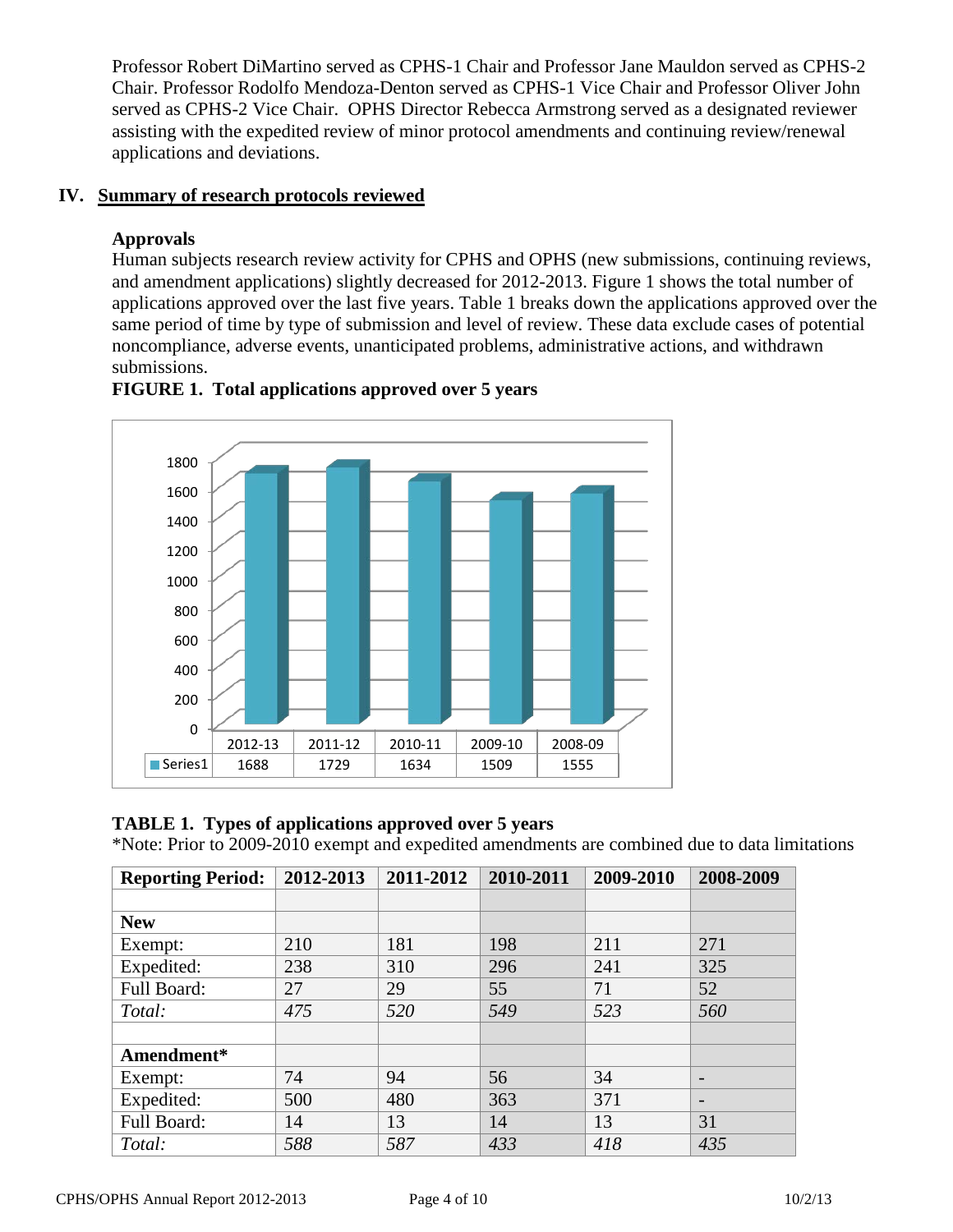Professor Robert DiMartino served as CPHS-1 Chair and Professor Jane Mauldon served as CPHS-2 Chair. Professor Rodolfo Mendoza-Denton served as CPHS-1 Vice Chair and Professor Oliver John served as CPHS-2 Vice Chair. OPHS Director Rebecca Armstrong served as a designated reviewer assisting with the expedited review of minor protocol amendments and continuing review/renewal applications and deviations.

## **IV. Summary of research protocols reviewed**

## **Approvals**

Human subjects research review activity for CPHS and OPHS (new submissions, continuing reviews, and amendment applications) slightly decreased for 2012-2013. Figure 1 shows the total number of applications approved over the last five years. Table 1 breaks down the applications approved over the same period of time by type of submission and level of review. These data exclude cases of potential noncompliance, adverse events, unanticipated problems, administrative actions, and withdrawn submissions.



# **FIGURE 1. Total applications approved over 5 years**

## **TABLE 1. Types of applications approved over 5 years**

\*Note: Prior to 2009-2010 exempt and expedited amendments are combined due to data limitations

| <b>Reporting Period:</b> | 2012-2013 | 2011-2012 | 2010-2011 | 2009-2010 | 2008-2009 |
|--------------------------|-----------|-----------|-----------|-----------|-----------|
|                          |           |           |           |           |           |
| <b>New</b>               |           |           |           |           |           |
| Exempt:                  | 210       | 181       | 198       | 211       | 271       |
| Expedited:               | 238       | 310       | 296       | 241       | 325       |
| Full Board:              | 27        | 29        | 55        | 71        | 52        |
| Total:                   | 475       | 520       | 549       | 523       | 560       |
|                          |           |           |           |           |           |
| Amendment*               |           |           |           |           |           |
| Exempt:                  | 74        | 94        | 56        | 34        |           |
| Expedited:               | 500       | 480       | 363       | 371       |           |
| Full Board:              | 14        | 13        | 14        | 13        | 31        |
| Total:                   | 588       | 587       | 433       | 418       | 435       |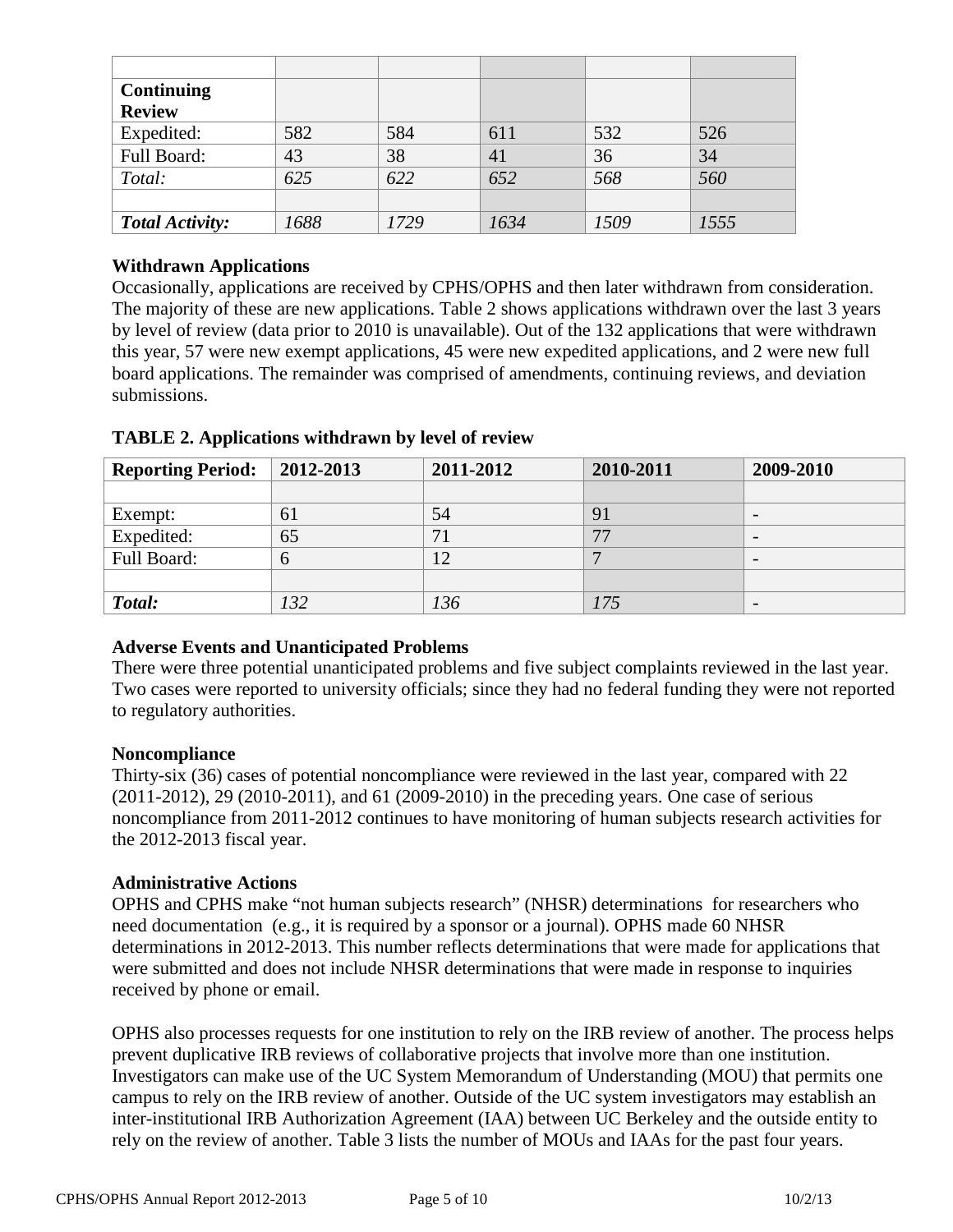| <b>Continuing</b>      |      |      |      |      |      |
|------------------------|------|------|------|------|------|
| <b>Review</b>          |      |      |      |      |      |
| Expedited:             | 582  | 584  | 611  | 532  | 526  |
| Full Board:            | 43   | 38   | 41   | 36   | 34   |
| Total:                 | 625  | 622  | 652  | 568  | 560  |
|                        |      |      |      |      |      |
| <b>Total Activity:</b> | 1688 | 1729 | 1634 | 1509 | 1555 |

#### **Withdrawn Applications**

Occasionally, applications are received by CPHS/OPHS and then later withdrawn from consideration. The majority of these are new applications. Table 2 shows applications withdrawn over the last 3 years by level of review (data prior to 2010 is unavailable). Out of the 132 applications that were withdrawn this year, 57 were new exempt applications, 45 were new expedited applications, and 2 were new full board applications. The remainder was comprised of amendments, continuing reviews, and deviation submissions.

| <b>Reporting Period:</b> | 2012-2013 | 2011-2012 | 2010-2011 | 2009-2010                |
|--------------------------|-----------|-----------|-----------|--------------------------|
|                          |           |           |           |                          |
| Exempt:                  | 61        | 54        | 91        | $\overline{\phantom{0}}$ |
| Expedited:               | 65        | 71        | 77        | $\overline{\phantom{0}}$ |
| Full Board:              | $\sigma$  |           |           |                          |
|                          |           |           |           |                          |
| Total:                   | 132       | 136       | 175       | $\overline{\phantom{0}}$ |

**TABLE 2. Applications withdrawn by level of review**

## **Adverse Events and Unanticipated Problems**

There were three potential unanticipated problems and five subject complaints reviewed in the last year. Two cases were reported to university officials; since they had no federal funding they were not reported to regulatory authorities.

#### **Noncompliance**

Thirty-six (36) cases of potential noncompliance were reviewed in the last year, compared with 22 (2011-2012), 29 (2010-2011), and 61 (2009-2010) in the preceding years. One case of serious noncompliance from 2011-2012 continues to have monitoring of human subjects research activities for the 2012-2013 fiscal year.

#### **Administrative Actions**

OPHS and CPHS make "not human subjects research" (NHSR) determinations for researchers who need documentation (e.g., it is required by a sponsor or a journal). OPHS made 60 NHSR determinations in 2012-2013. This number reflects determinations that were made for applications that were submitted and does not include NHSR determinations that were made in response to inquiries received by phone or email.

OPHS also processes requests for one institution to rely on the IRB review of another. The process helps prevent duplicative IRB reviews of collaborative projects that involve more than one institution. Investigators can make use of the UC System Memorandum of Understanding (MOU) that permits one campus to rely on the IRB review of another. Outside of the UC system investigators may establish an inter-institutional IRB Authorization Agreement (IAA) between UC Berkeley and the outside entity to rely on the review of another. Table 3 lists the number of MOUs and IAAs for the past four years.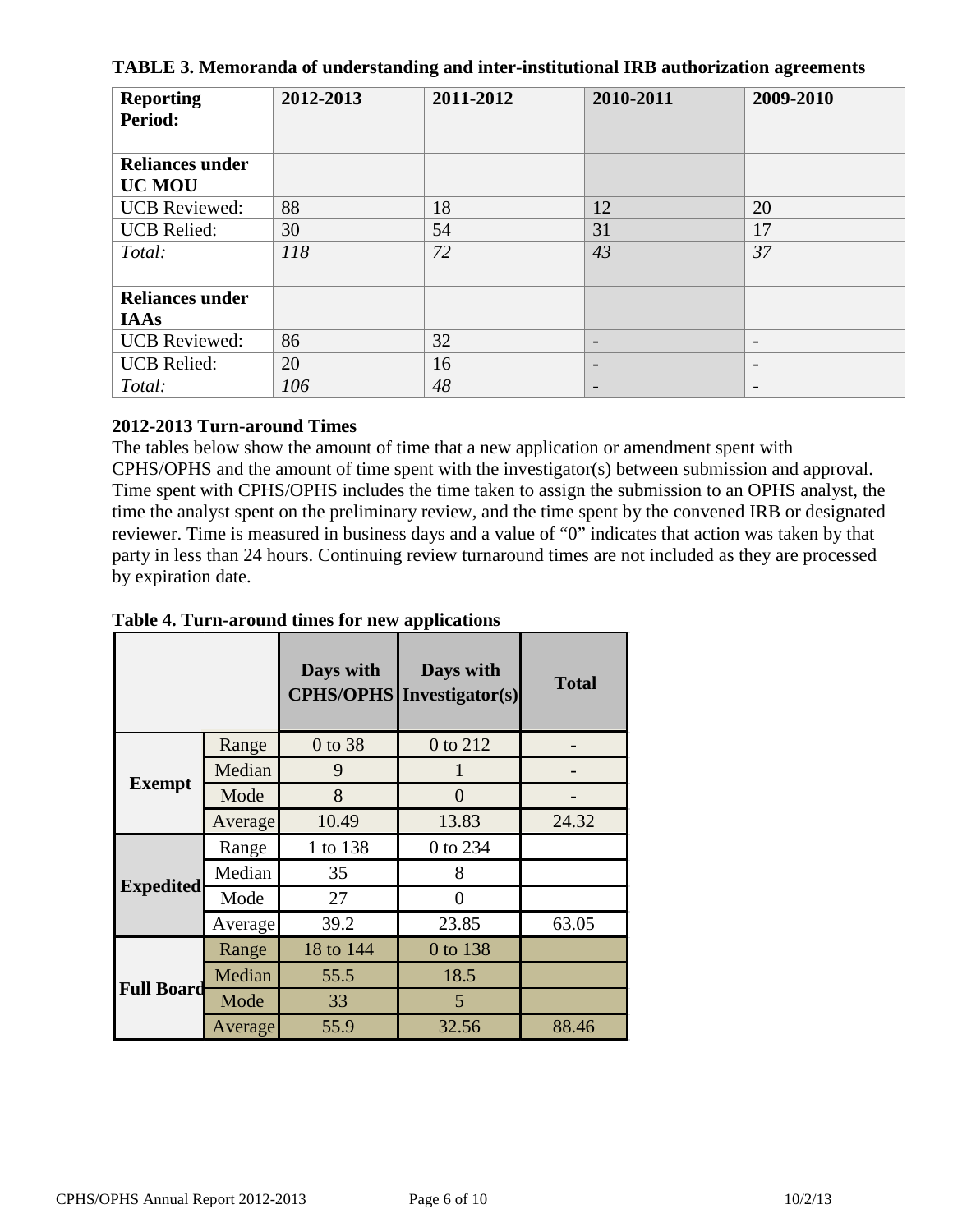| <b>Reporting</b><br>Period: | 2012-2013 | 2011-2012 | 2010-2011                | 2009-2010                |
|-----------------------------|-----------|-----------|--------------------------|--------------------------|
|                             |           |           |                          |                          |
| <b>Reliances under</b>      |           |           |                          |                          |
| <b>UC MOU</b>               |           |           |                          |                          |
| <b>UCB</b> Reviewed:        | 88        | 18        | 12                       | 20                       |
| <b>UCB</b> Relied:          | 30        | 54        | 31                       | 17                       |
| Total:                      | 118       | 72        | 43                       | 37                       |
|                             |           |           |                          |                          |
| <b>Reliances under</b>      |           |           |                          |                          |
| <b>IAAs</b>                 |           |           |                          |                          |
| <b>UCB</b> Reviewed:        | 86        | 32        | $\overline{\phantom{0}}$ | $\overline{\phantom{a}}$ |
| <b>UCB</b> Relied:          | 20        | 16        | $\overline{\phantom{0}}$ | $\overline{\phantom{a}}$ |
| Total:                      | 106       | 48        | $\overline{\phantom{0}}$ | $\overline{\phantom{a}}$ |

**TABLE 3. Memoranda of understanding and inter-institutional IRB authorization agreements**

## **2012-2013 Turn-around Times**

The tables below show the amount of time that a new application or amendment spent with CPHS/OPHS and the amount of time spent with the investigator(s) between submission and approval. Time spent with CPHS/OPHS includes the time taken to assign the submission to an OPHS analyst, the time the analyst spent on the preliminary review, and the time spent by the convened IRB or designated reviewer. Time is measured in business days and a value of "0" indicates that action was taken by that party in less than 24 hours. Continuing review turnaround times are not included as they are processed by expiration date.

|                   |         | Days with<br><b>CPHS/OPHS</b> | Days with<br>Investigator(s) | <b>Total</b> |
|-------------------|---------|-------------------------------|------------------------------|--------------|
|                   | Range   | 0 to 38                       | 0 to 212                     |              |
|                   | Median  | 9                             |                              |              |
| <b>Exempt</b>     | Mode    | 8                             | 0                            |              |
|                   | Average | 10.49                         | 13.83                        | 24.32        |
| <b>Expedited</b>  | Range   | 1 to 138                      | 0 to 234                     |              |
|                   | Median  | 35                            | 8                            |              |
|                   | Mode    | 27                            | $\Omega$                     |              |
|                   | Average | 39.2                          | 23.85                        | 63.05        |
| <b>Full Board</b> | Range   | 18 to 144                     | 0 to 138                     |              |
|                   | Median  | 55.5                          | 18.5                         |              |
|                   | Mode    | 33                            | 5                            |              |
|                   | Average | 55.9                          | 32.56                        | 88.46        |

**Table 4. Turn-around times for new applications**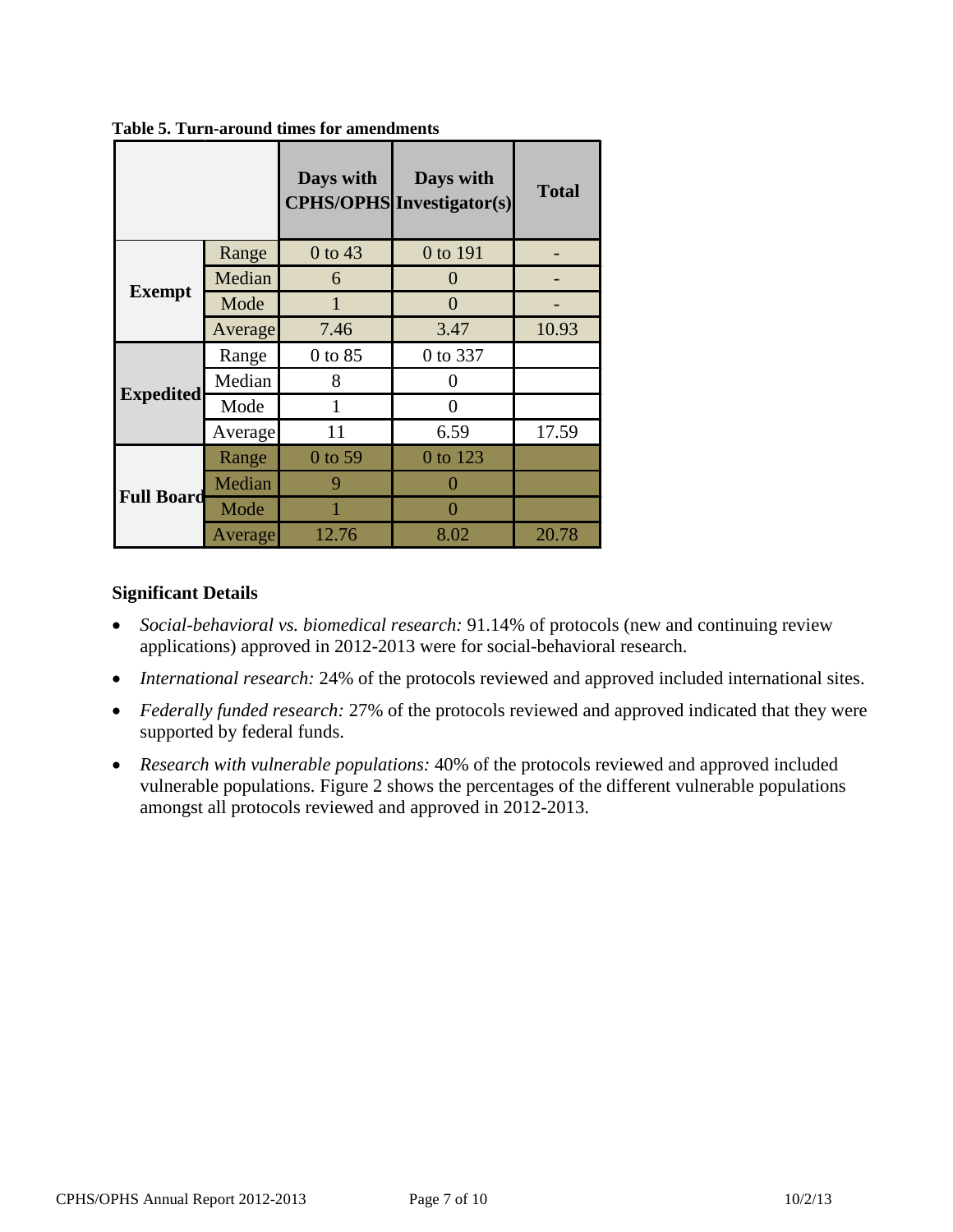|                   |         | Days with | Days with<br><b>CPHS/OPHS</b> Investigator(s) | <b>Total</b> |
|-------------------|---------|-----------|-----------------------------------------------|--------------|
|                   | Range   | 0 to 43   | 0 to 191                                      |              |
| <b>Exempt</b>     | Median  | 6         | 0                                             |              |
|                   | Mode    | 1         | 0                                             |              |
|                   | Average | 7.46      | 3.47                                          | 10.93        |
|                   | Range   | 0 to 85   | 0 to 337                                      |              |
|                   | Median  | 8         | 0                                             |              |
| <b>Expedited</b>  | Mode    | 1         | 0                                             |              |
|                   | Average | 11        | 6.59                                          | 17.59        |
| <b>Full Board</b> | Range   | 0 to 59   | 0 to 123                                      |              |
|                   | Median  | 9         |                                               |              |
|                   | Mode    |           | 0                                             |              |
|                   | Average | 12.76     | 8.02                                          | 20.78        |

**Table 5. Turn-around times for amendments**

#### **Significant Details**

- *Social-behavioral vs. biomedical research:* 91.14% of protocols (new and continuing review applications) approved in 2012-2013 were for social-behavioral research.
- *International research:* 24% of the protocols reviewed and approved included international sites.
- *Federally funded research:* 27% of the protocols reviewed and approved indicated that they were supported by federal funds.
- *Research with vulnerable populations:* 40% of the protocols reviewed and approved included vulnerable populations. Figure 2 shows the percentages of the different vulnerable populations amongst all protocols reviewed and approved in 2012-2013.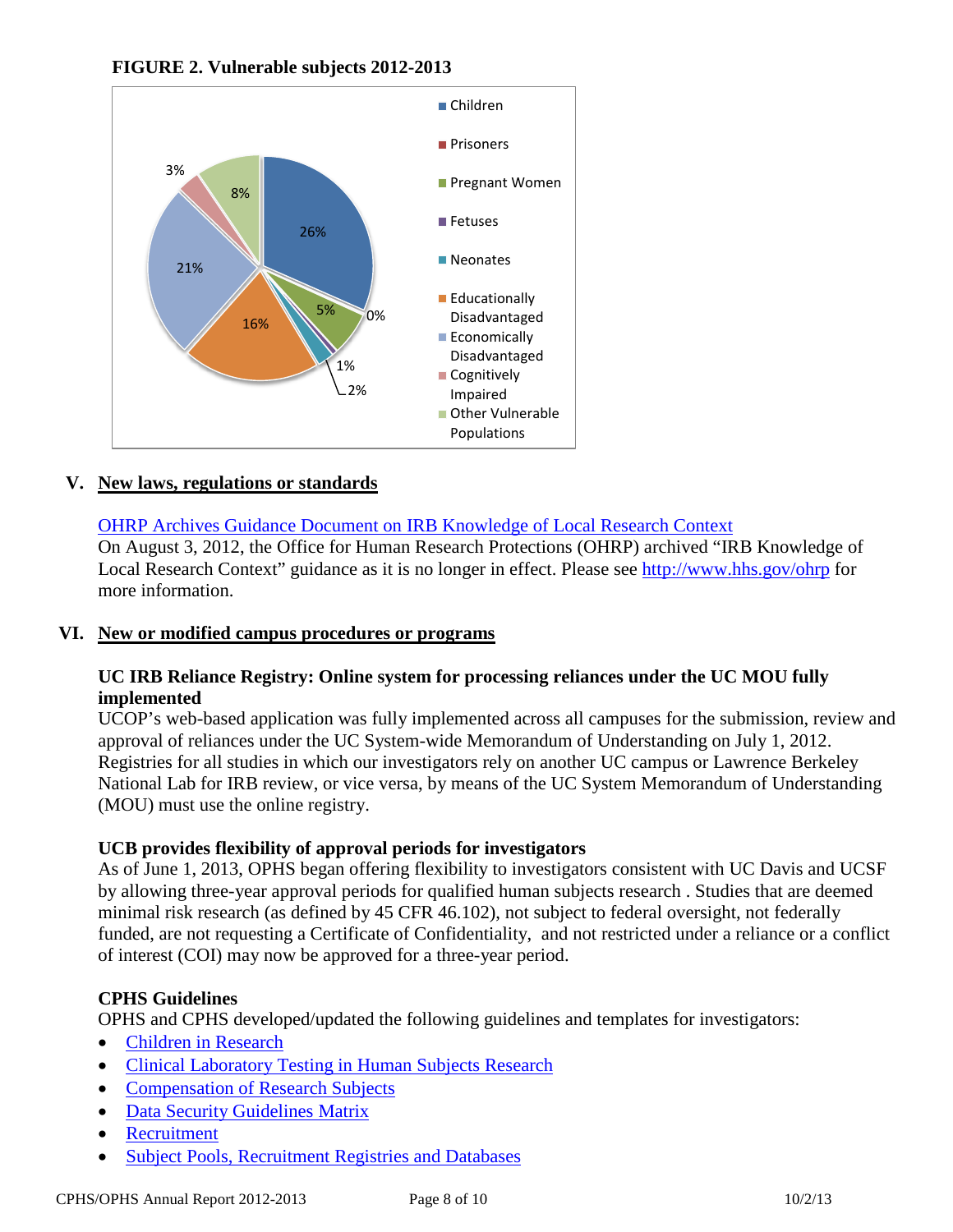



## **V. New laws, regulations or standards**

# OHRP Archives Guidance Document on IRB Knowledge of Local Research Context

On August 3, 2012, the Office for Human Research Protections (OHRP) archived "IRB Knowledge of Local Research Context" guidance as it is no longer in effect. Please see<http://www.hhs.gov/ohrp> for more information.

## **VI. New or modified campus procedures or programs**

## **UC IRB Reliance Registry: Online system for processing reliances under the UC MOU fully implemented**

UCOP's web-based application was fully implemented across all campuses for the submission, review and approval of reliances under the UC System-wide Memorandum of Understanding on July 1, 2012. Registries for all studies in which our investigators rely on another UC campus or Lawrence Berkeley National Lab for IRB review, or vice versa, by means of the UC System Memorandum of Understanding (MOU) must use the online registry.

## **UCB provides flexibility of approval periods for investigators**

As of June 1, 2013, OPHS began offering flexibility to investigators consistent with UC Davis and UCSF by allowing three-year approval periods for qualified human subjects research . Studies that are deemed minimal risk research (as defined by 45 CFR 46.102), not subject to federal oversight, not federally funded, are not requesting a Certificate of Confidentiality, and not restricted under a reliance or a conflict of interest (COI) may now be approved for a three-year period.

## **CPHS Guidelines**

OPHS and CPHS developed/updated the following guidelines and templates for investigators:

- [Children in Research](http://cphs.berkeley.edu/children_research.pdf)
- [Clinical Laboratory Testing in Human Subjects Research](http://cphs.berkeley.edu/clia.pdf)
- [Compensation of Research Subjects](http://cphs.berkeley.edu/compensation.pdf)
- [Data Security Guidelines Matrix](http://cphs.berkeley.edu/datasecurity.pdf)
- [Recruitment](http://cphs.berkeley.edu/recruitment.pdf)
- [Subject Pools, Recruitment Registries and Databases](http://cphs.berkeley.edu/subject_pools.pdf)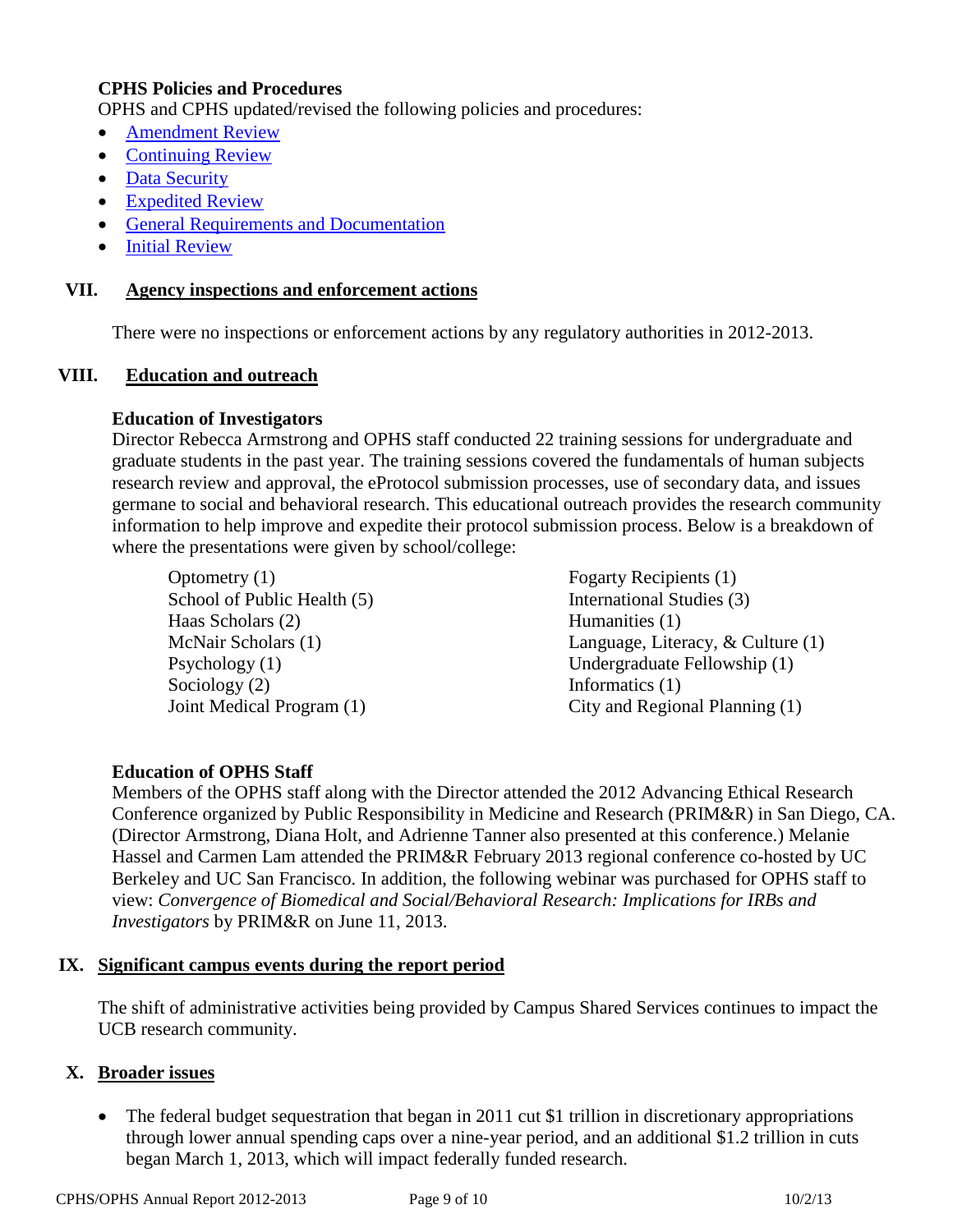# **CPHS Policies and Procedures**

OPHS and CPHS updated/revised the following policies and procedures:

- [Amendment Review](http://cphs.berkeley.edu/policies_procedures/rr404.pdf)
- [Continuing Review](http://cphs.berkeley.edu/policies_procedures/rr403.pdf)
- [Data Security](http://cphs.berkeley.edu/policies_procedures/ga106.pdf)
- [Expedited Review](http://cphs.berkeley.edu/policies_procedures/rr402.pdf)
- [General Requirements and Documentation](http://cphs.berkeley.edu/policies_procedures/ic701.pdf)
- **[Initial Review](http://cphs.berkeley.edu/policies_procedures/rr401.pdf)**

#### **VII. Agency inspections and enforcement actions**

There were no inspections or enforcement actions by any regulatory authorities in 2012-2013.

#### **VIII. Education and outreach**

#### **Education of Investigators**

Director Rebecca Armstrong and OPHS staff conducted 22 training sessions for undergraduate and graduate students in the past year. The training sessions covered the fundamentals of human subjects research review and approval, the eProtocol submission processes, use of secondary data, and issues germane to social and behavioral research. This educational outreach provides the research community information to help improve and expedite their protocol submission process. Below is a breakdown of where the presentations were given by school/college:

Optometry (1) Fogarty Recipients (1) School of Public Health (5) International Studies (3) Haas Scholars (2) Humanities (1) McNair Scholars (1) Psychology (1) Sociology (2) Joint Medical Program (1)

Language, Literacy, & Culture (1) Undergraduate Fellowship (1) Informatics (1) City and Regional Planning (1)

## **Education of OPHS Staff**

Members of the OPHS staff along with the Director attended the 2012 Advancing Ethical Research Conference organized by Public Responsibility in Medicine and Research (PRIM&R) in San Diego, CA. (Director Armstrong, Diana Holt, and Adrienne Tanner also presented at this conference.) Melanie Hassel and Carmen Lam attended the PRIM&R February 2013 regional conference co-hosted by UC Berkeley and UC San Francisco. In addition, the following webinar was purchased for OPHS staff to view: *Convergence of Biomedical and Social/Behavioral Research: Implications for IRBs and Investigators* by PRIM&R on June 11, 2013.

#### **IX. Significant campus events during the report period**

The shift of administrative activities being provided by Campus Shared Services continues to impact the UCB research community.

#### **X. Broader issues**

• The federal budget sequestration that began in 2011 cut \$1 trillion in discretionary appropriations through lower annual spending caps over a nine-year period, and an additional \$1.2 trillion in cuts began March 1, 2013, which will impact federally funded research.